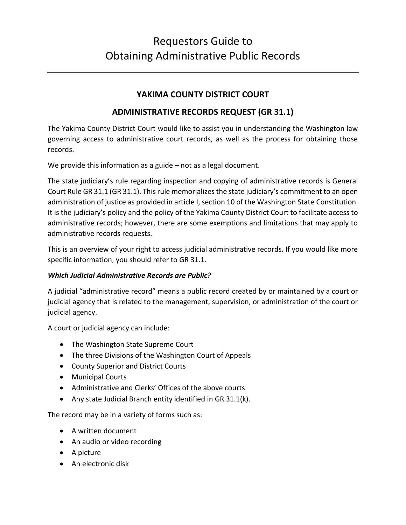# Requestors Guide to Obtaining Administrative Public Records

# **YAKIMA COUNTY DISTRICT COURT**

# **ADMINISTRATIVE RECORDS REQUEST (GR 31.1)**

The Yakima County District Court would like to assist you in understanding the Washington law governing access to administrative court records, as well as the process for obtaining those records.

We provide this information as a guide – not as a legal document.

The state judiciary's rule regarding inspection and copying of administrative records is General Court Rule GR 31.1 (GR 31.1). This rule memorializes the state judiciary's commitment to an open administration of justice as provided in article I, section 10 of the Washington State Constitution. It is the judiciary's policy and the policy of the Yakima County District Court to facilitate access to administrative records; however, there are some exemptions and limitations that may apply to administrative records requests.

This is an overview of your right to access judicial administrative records. If you would like more specific information, you should refer to GR 31.1.

#### *Which Judicial Administrative Records are Public?*

A judicial "administrative record" means a public record created by or maintained by a court or judicial agency that is related to the management, supervision, or administration of the court or judicial agency.

A court or judicial agency can include:

- The Washington State Supreme Court
- The three Divisions of the Washington Court of Appeals
- County Superior and District Courts
- Municipal Courts
- Administrative and Clerks' Offices of the above courts
- Any state Judicial Branch entity identified in GR 31.1(k).

The record may be in a variety of forms such as:

- A written document
- An audio or video recording
- A picture
- An electronic disk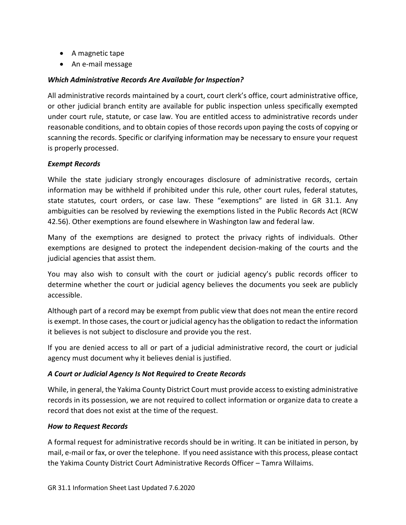- A magnetic tape
- An e-mail message

#### *Which Administrative Records Are Available for Inspection?*

All administrative records maintained by a court, court clerk's office, court administrative office, or other judicial branch entity are available for public inspection unless specifically exempted under court rule, statute, or case law. You are entitled access to administrative records under reasonable conditions, and to obtain copies of those records upon paying the costs of copying or scanning the records. Specific or clarifying information may be necessary to ensure your request is properly processed.

#### *Exempt Records*

While the state judiciary strongly encourages disclosure of administrative records, certain information may be withheld if prohibited under this rule, other court rules, federal statutes, state statutes, court orders, or case law. These "exemptions" are listed in GR 31.1. Any ambiguities can be resolved by reviewing the exemptions listed in the Public Records Act (RCW 42.56). Other exemptions are found elsewhere in Washington law and federal law.

Many of the exemptions are designed to protect the privacy rights of individuals. Other exemptions are designed to protect the independent decision-making of the courts and the judicial agencies that assist them.

You may also wish to consult with the court or judicial agency's public records officer to determine whether the court or judicial agency believes the documents you seek are publicly accessible.

Although part of a record may be exempt from public view that does not mean the entire record is exempt. In those cases, the court or judicial agency has the obligation to redact the information it believes is not subject to disclosure and provide you the rest.

If you are denied access to all or part of a judicial administrative record, the court or judicial agency must document why it believes denial is justified.

#### *A Court or Judicial Agency Is Not Required to Create Records*

While, in general, the Yakima County District Court must provide access to existing administrative records in its possession, we are not required to collect information or organize data to create a record that does not exist at the time of the request.

#### *How to Request Records*

A formal request for administrative records should be in writing. It can be initiated in person, by mail, e-mail or fax, or over the telephone. If you need assistance with this process, please contact the Yakima County District Court Administrative Records Officer – Tamra Willaims.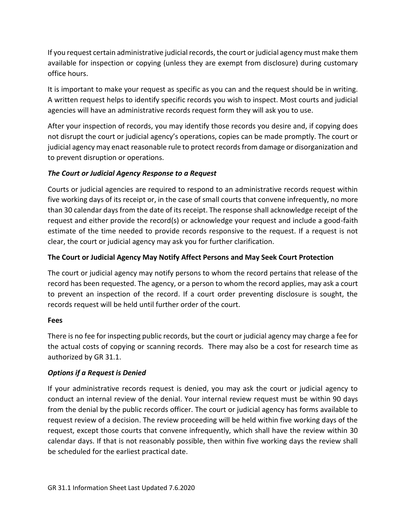If you request certain administrative judicial records, the court or judicial agency must make them available for inspection or copying (unless they are exempt from disclosure) during customary office hours.

It is important to make your request as specific as you can and the request should be in writing. A written request helps to identify specific records you wish to inspect. Most courts and judicial agencies will have an administrative records request form they will ask you to use.

After your inspection of records, you may identify those records you desire and, if copying does not disrupt the court or judicial agency's operations, copies can be made promptly. The court or judicial agency may enact reasonable rule to protect records from damage or disorganization and to prevent disruption or operations.

## *The Court or Judicial Agency Response to a Request*

Courts or judicial agencies are required to respond to an administrative records request within five working days of its receipt or, in the case of small courts that convene infrequently, no more than 30 calendar days from the date of its receipt. The response shall acknowledge receipt of the request and either provide the record(s) or acknowledge your request and include a good-faith estimate of the time needed to provide records responsive to the request. If a request is not clear, the court or judicial agency may ask you for further clarification.

### **The Court or Judicial Agency May Notify Affect Persons and May Seek Court Protection**

The court or judicial agency may notify persons to whom the record pertains that release of the record has been requested. The agency, or a person to whom the record applies, may ask a court to prevent an inspection of the record. If a court order preventing disclosure is sought, the records request will be held until further order of the court.

#### **Fees**

There is no fee for inspecting public records, but the court or judicial agency may charge a fee for the actual costs of copying or scanning records. There may also be a cost for research time as authorized by GR 31.1.

## *Options if a Request is Denied*

If your administrative records request is denied, you may ask the court or judicial agency to conduct an internal review of the denial. Your internal review request must be within 90 days from the denial by the public records officer. The court or judicial agency has forms available to request review of a decision. The review proceeding will be held within five working days of the request, except those courts that convene infrequently, which shall have the review within 30 calendar days. If that is not reasonably possible, then within five working days the review shall be scheduled for the earliest practical date.